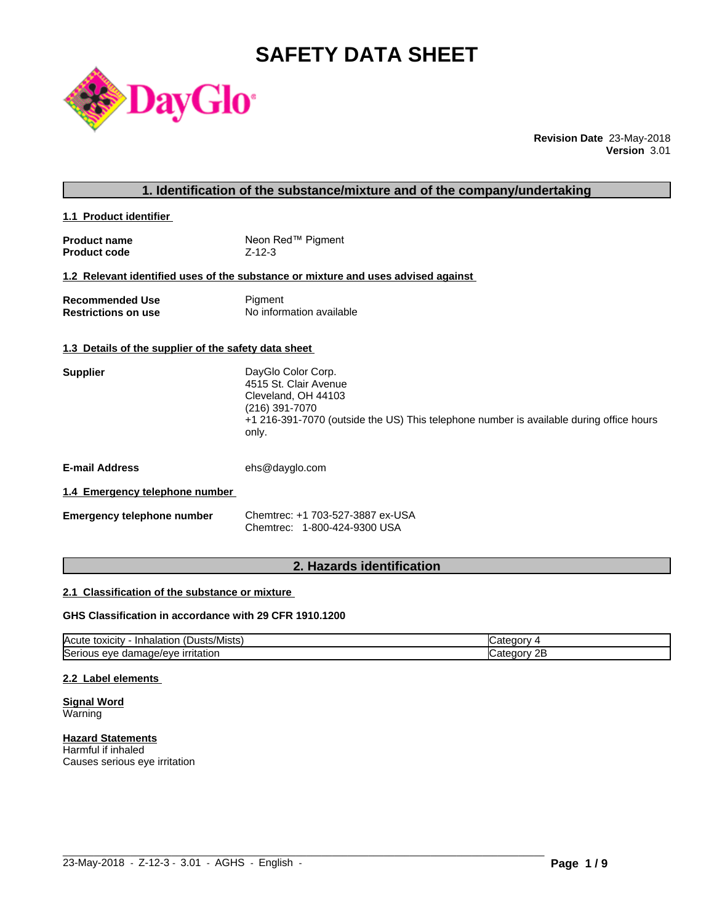# **SAFETY DATA SHEET**



**Revision Date** 23-May-2018 **Version** 3.01

# **1. Identification of the substance/mixture and of the company/undertaking**

**1.1 Product identifier** 

| <b>Product name</b> | Neon Red™ Pigment |
|---------------------|-------------------|
| <b>Product code</b> | $Z - 12 - 3$      |

# **1.2 Relevant identified uses of the substance or mixture and uses advised against**

| <b>Recommended Use</b>     | Pigment                  |
|----------------------------|--------------------------|
| <b>Restrictions on use</b> | No information available |

## **1.3 Details of the supplier of the safety data sheet**

| <b>Supplier</b> | DayGlo Color Corp.                                                                               |
|-----------------|--------------------------------------------------------------------------------------------------|
|                 | 4515 St. Clair Avenue                                                                            |
|                 | Cleveland, OH 44103                                                                              |
|                 | (216) 391-7070                                                                                   |
|                 | +1 216-391-7070 (outside the US) This telephone number is available during office hours<br>only. |
|                 |                                                                                                  |

**E-mail Address** ehs@dayglo.com

# **1.4 Emergency telephone number**

**Emergency telephone number** Chemtrec: +1 703-527-3887 ex-USA Chemtrec: 1-800-424-9300 USA

# **2. Hazards identification**

# **2.1 Classification of the substance or mixture**

# **GHS Classification in accordance with 29 CFR 1910.1200**

| $\mathbf{r}$<br>Acute<br>.Dusts/Mists) .<br>· Inhalation<br>, toxicity     | עזרור                   |
|----------------------------------------------------------------------------|-------------------------|
| ∽<br>.nage/eve<br>irritation<br><b>ISeric</b><br>11 I C<br>eve<br>aar<br>. | റ⊏<br>עזנונו<br>45<br>. |

 $\_$  ,  $\_$  ,  $\_$  ,  $\_$  ,  $\_$  ,  $\_$  ,  $\_$  ,  $\_$  ,  $\_$  ,  $\_$  ,  $\_$  ,  $\_$  ,  $\_$  ,  $\_$  ,  $\_$  ,  $\_$  ,  $\_$  ,  $\_$  ,  $\_$  ,  $\_$  ,  $\_$  ,  $\_$  ,  $\_$  ,  $\_$  ,  $\_$  ,  $\_$  ,  $\_$  ,  $\_$  ,  $\_$  ,  $\_$  ,  $\_$  ,  $\_$  ,  $\_$  ,  $\_$  ,  $\_$  ,  $\_$  ,  $\_$  ,

# **2.2 Label elements**

**Signal Word** Warning

**Hazard Statements** Harmful if inhaled Causes serious eye irritation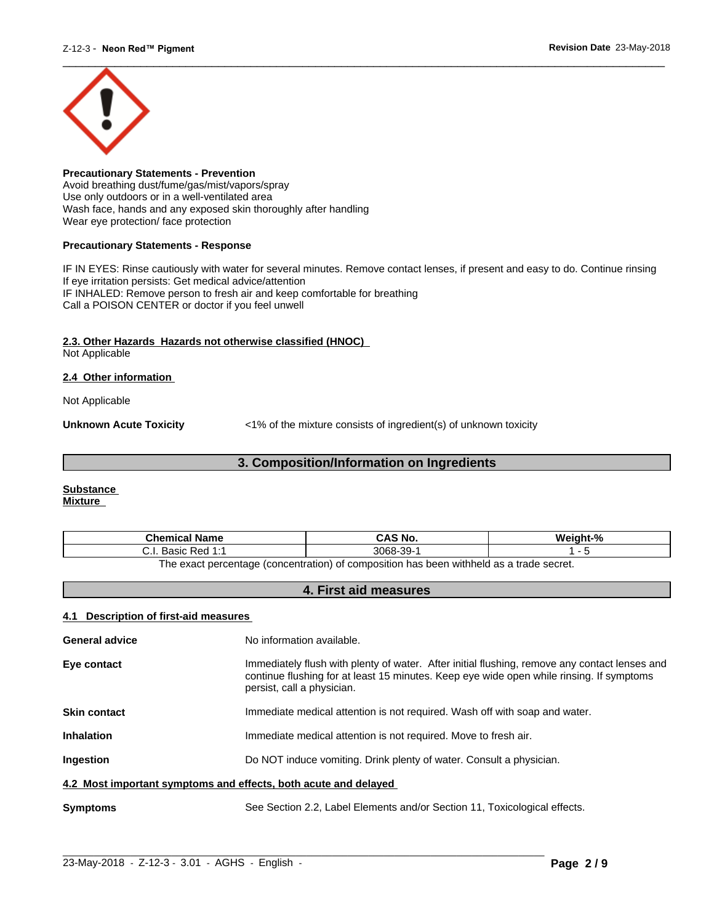

**Precautionary Statements - Prevention** Avoid breathing dust/fume/gas/mist/vapors/spray Use only outdoors or in a well-ventilated area Wash face, hands and any exposed skin thoroughly after handling Wear eye protection/ face protection

## **Precautionary Statements - Response**

IF IN EYES: Rinse cautiously with water for several minutes. Remove contact lenses, if present and easy to do. Continue rinsing If eye irritation persists: Get medical advice/attention IF INHALED: Remove person to fresh air and keep comfortable for breathing Call a POISON CENTER or doctor if you feel unwell

# **2.3. Other Hazards Hazards not otherwise classified (HNOC)**

Not Applicable

# **2.4 Other information**

Not Applicable

**Unknown Acute Toxicity**  $\langle 1\%$  of the mixture consists of ingredient(s) of unknown toxicity

# **3. Composition/Information on Ingredients**

#### **Substance Mixture**

| Chemical<br>∣ Name                                                                      | `S No.<br>CA.              | $\mathbf{a}$ |
|-----------------------------------------------------------------------------------------|----------------------------|--------------|
| <b>Dod 1.4</b><br>20010<br>n sa<br>ن.<br>Dasit<br>.                                     | 3068<br>$\sim$<br>99-<br>ີ |              |
| The exact perceptage (conceptration) of compecition has been withhold as a trade secret |                            |              |

The exact percentage (concentration) of composition has been withheld as a trade secret.

# **4. First aid measures**

# **4.1 Description of first-aid measures**

| <b>General advice</b>                                           | No information available.                                                                                                                                                                                               |
|-----------------------------------------------------------------|-------------------------------------------------------------------------------------------------------------------------------------------------------------------------------------------------------------------------|
| Eye contact                                                     | Immediately flush with plenty of water. After initial flushing, remove any contact lenses and<br>continue flushing for at least 15 minutes. Keep eye wide open while rinsing. If symptoms<br>persist, call a physician. |
| <b>Skin contact</b>                                             | Immediate medical attention is not required. Wash off with soap and water.                                                                                                                                              |
| <b>Inhalation</b>                                               | Immediate medical attention is not required. Move to fresh air.                                                                                                                                                         |
| <b>Ingestion</b>                                                | Do NOT induce vomiting. Drink plenty of water. Consult a physician.                                                                                                                                                     |
| 4.2 Most important symptoms and effects, both acute and delayed |                                                                                                                                                                                                                         |
| <b>Symptoms</b>                                                 | See Section 2.2, Label Elements and/or Section 11, Toxicological effects.                                                                                                                                               |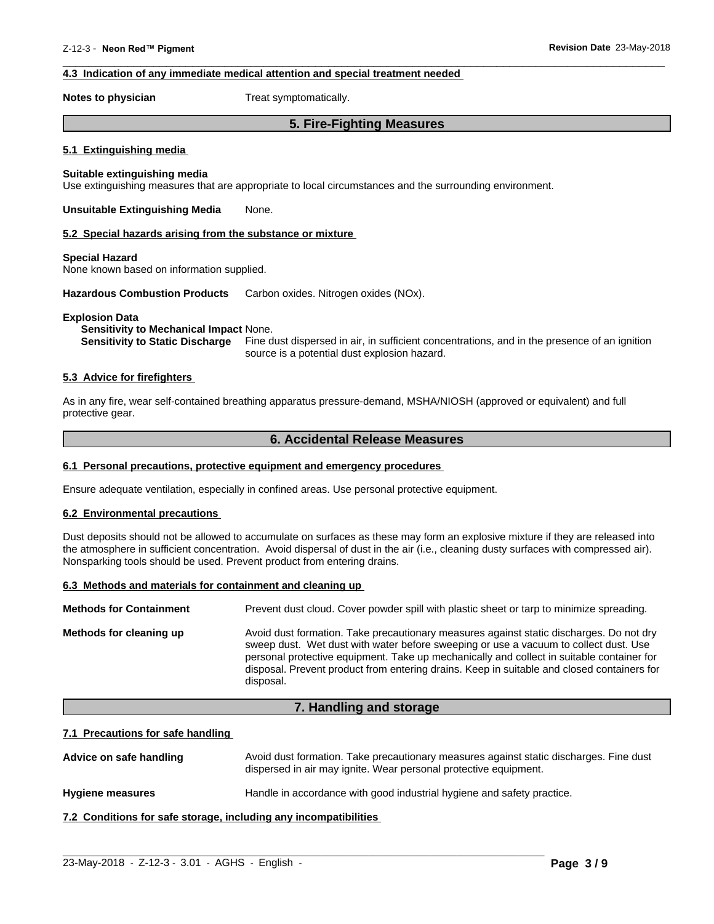# **4.3 Indication of any immediate medical attention and special treatment needed**

**Notes to physician** Treat symptomatically.

# **5. Fire-Fighting Measures**

 $\overline{\phantom{a}}$  ,  $\overline{\phantom{a}}$  ,  $\overline{\phantom{a}}$  ,  $\overline{\phantom{a}}$  ,  $\overline{\phantom{a}}$  ,  $\overline{\phantom{a}}$  ,  $\overline{\phantom{a}}$  ,  $\overline{\phantom{a}}$  ,  $\overline{\phantom{a}}$  ,  $\overline{\phantom{a}}$  ,  $\overline{\phantom{a}}$  ,  $\overline{\phantom{a}}$  ,  $\overline{\phantom{a}}$  ,  $\overline{\phantom{a}}$  ,  $\overline{\phantom{a}}$  ,  $\overline{\phantom{a}}$ 

### **5.1 Extinguishing media**

## **Suitable extinguishing media**

Use extinguishing measures that are appropriate to local circumstances and the surrounding environment.

**Unsuitable Extinguishing Media** None.

#### **5.2 Special hazards arising from the substance or mixture**

#### **Special Hazard**

None known based on information supplied.

**Hazardous Combustion Products** Carbon oxides. Nitrogen oxides (NOx).

#### **Explosion Data**

#### **Sensitivity to Mechanical Impact** None.

**Sensitivity to Static Discharge** Fine dust dispersed in air, in sufficient concentrations, and in the presence of an ignition source is a potential dust explosion hazard.

# **5.3 Advice for firefighters**

As in any fire, wear self-contained breathing apparatus pressure-demand, MSHA/NIOSH (approved or equivalent) and full protective gear.

# **6. Accidental Release Measures**

### **6.1 Personal precautions, protective equipment and emergency procedures**

Ensure adequate ventilation, especially in confined areas. Use personal protective equipment.

# **6.2 Environmental precautions**

Dust deposits should not be allowed to accumulate on surfaces as these may form an explosive mixture if they are released into the atmosphere in sufficient concentration. Avoid dispersal of dust in the air (i.e., cleaning dusty surfaces with compressed air). Nonsparking tools should be used. Prevent product from entering drains.

#### **6.3 Methods and materials for containment and cleaning up**

| <b>Methods for Containment</b> | Prevent dust cloud. Cover powder spill with plastic sheet or tarp to minimize spreading.                                                                                                                                                                                                                                                                                                |
|--------------------------------|-----------------------------------------------------------------------------------------------------------------------------------------------------------------------------------------------------------------------------------------------------------------------------------------------------------------------------------------------------------------------------------------|
| Methods for cleaning up        | Avoid dust formation. Take precautionary measures against static discharges. Do not dry<br>sweep dust. Wet dust with water before sweeping or use a vacuum to collect dust. Use<br>personal protective equipment. Take up mechanically and collect in suitable container for<br>disposal. Prevent product from entering drains. Keep in suitable and closed containers for<br>disposal. |

# **7. Handling and storage**

### **7.1 Precautions for safe handling**

Advice on safe handling **Avoid dust formation. Take precautionary measures against static discharges. Fine dust** dispersed in air may ignite. Wear personal protective equipment.

 $\_$  ,  $\_$  ,  $\_$  ,  $\_$  ,  $\_$  ,  $\_$  ,  $\_$  ,  $\_$  ,  $\_$  ,  $\_$  ,  $\_$  ,  $\_$  ,  $\_$  ,  $\_$  ,  $\_$  ,  $\_$  ,  $\_$  ,  $\_$  ,  $\_$  ,  $\_$  ,  $\_$  ,  $\_$  ,  $\_$  ,  $\_$  ,  $\_$  ,  $\_$  ,  $\_$  ,  $\_$  ,  $\_$  ,  $\_$  ,  $\_$  ,  $\_$  ,  $\_$  ,  $\_$  ,  $\_$  ,  $\_$  ,  $\_$  ,

**Hygiene measures** Handle in accordance with good industrial hygiene and safety practice.

**7.2 Conditions for safe storage, including any incompatibilities**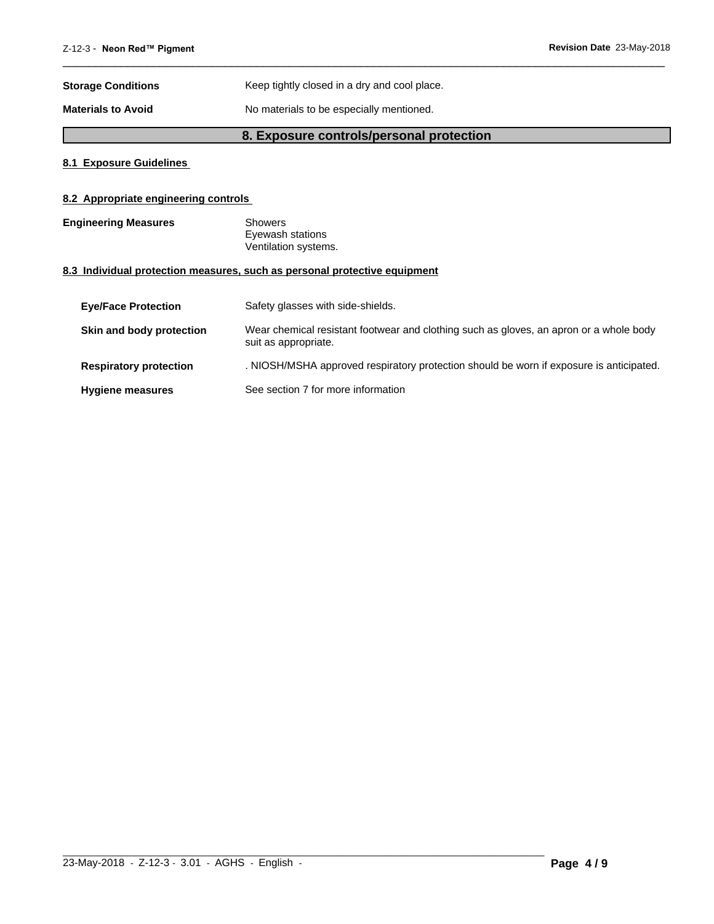| <b>Storage Conditions</b> | Keep tightly closed in a dry and cool place. |
|---------------------------|----------------------------------------------|
| <b>Materials to Avoid</b> | No materials to be especially mentioned.     |

# **8. Exposure controls/personal protection**

 $\overline{\phantom{a}}$  ,  $\overline{\phantom{a}}$  ,  $\overline{\phantom{a}}$  ,  $\overline{\phantom{a}}$  ,  $\overline{\phantom{a}}$  ,  $\overline{\phantom{a}}$  ,  $\overline{\phantom{a}}$  ,  $\overline{\phantom{a}}$  ,  $\overline{\phantom{a}}$  ,  $\overline{\phantom{a}}$  ,  $\overline{\phantom{a}}$  ,  $\overline{\phantom{a}}$  ,  $\overline{\phantom{a}}$  ,  $\overline{\phantom{a}}$  ,  $\overline{\phantom{a}}$  ,  $\overline{\phantom{a}}$ 

# **8.1 Exposure Guidelines**

# **8.2 Appropriate engineering controls**

**Engineering Measures** Showers Eyewash stations Ventilation systems.

# **8.3 Individual protection measures, such as personal protective equipment**

| <b>Eve/Face Protection</b>    | Safety glasses with side-shields.                                                                              |
|-------------------------------|----------------------------------------------------------------------------------------------------------------|
| Skin and body protection      | Wear chemical resistant footwear and clothing such as gloves, an apron or a whole body<br>suit as appropriate. |
| <b>Respiratory protection</b> | . NIOSH/MSHA approved respiratory protection should be worn if exposure is anticipated.                        |
| <b>Hygiene measures</b>       | See section 7 for more information                                                                             |

 $\_$  ,  $\_$  ,  $\_$  ,  $\_$  ,  $\_$  ,  $\_$  ,  $\_$  ,  $\_$  ,  $\_$  ,  $\_$  ,  $\_$  ,  $\_$  ,  $\_$  ,  $\_$  ,  $\_$  ,  $\_$  ,  $\_$  ,  $\_$  ,  $\_$  ,  $\_$  ,  $\_$  ,  $\_$  ,  $\_$  ,  $\_$  ,  $\_$  ,  $\_$  ,  $\_$  ,  $\_$  ,  $\_$  ,  $\_$  ,  $\_$  ,  $\_$  ,  $\_$  ,  $\_$  ,  $\_$  ,  $\_$  ,  $\_$  ,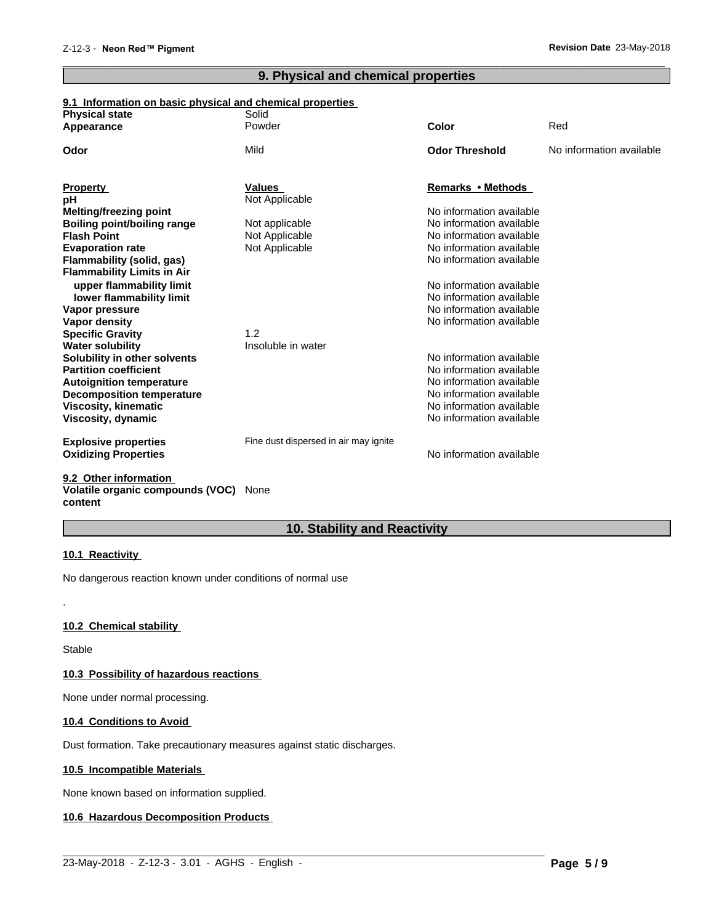# **9. Physical and chemical properties**

 $\overline{\phantom{a}}$  ,  $\overline{\phantom{a}}$  ,  $\overline{\phantom{a}}$  ,  $\overline{\phantom{a}}$  ,  $\overline{\phantom{a}}$  ,  $\overline{\phantom{a}}$  ,  $\overline{\phantom{a}}$  ,  $\overline{\phantom{a}}$  ,  $\overline{\phantom{a}}$  ,  $\overline{\phantom{a}}$  ,  $\overline{\phantom{a}}$  ,  $\overline{\phantom{a}}$  ,  $\overline{\phantom{a}}$  ,  $\overline{\phantom{a}}$  ,  $\overline{\phantom{a}}$  ,  $\overline{\phantom{a}}$ 

# **9.1 Information on basic physical and chemical properties**

| <b>Physical state</b>              | Solid                                 |                          |                          |
|------------------------------------|---------------------------------------|--------------------------|--------------------------|
| Appearance                         | Powder                                | Color                    | Red                      |
| Odor                               | Mild                                  | <b>Odor Threshold</b>    | No information available |
|                                    |                                       |                          |                          |
| <b>Property</b>                    | <b>Values</b>                         | Remarks • Methods        |                          |
| рH                                 | Not Applicable                        |                          |                          |
| Melting/freezing point             |                                       | No information available |                          |
| <b>Boiling point/boiling range</b> | Not applicable                        | No information available |                          |
| <b>Flash Point</b>                 | Not Applicable                        | No information available |                          |
| <b>Evaporation rate</b>            | Not Applicable                        | No information available |                          |
| Flammability (solid, gas)          |                                       | No information available |                          |
| <b>Flammability Limits in Air</b>  |                                       |                          |                          |
| upper flammability limit           |                                       | No information available |                          |
| lower flammability limit           |                                       | No information available |                          |
| Vapor pressure                     |                                       | No information available |                          |
| Vapor density                      |                                       | No information available |                          |
| <b>Specific Gravity</b>            | 1.2                                   |                          |                          |
| <b>Water solubility</b>            | Insoluble in water                    |                          |                          |
| Solubility in other solvents       |                                       | No information available |                          |
| <b>Partition coefficient</b>       |                                       | No information available |                          |
| <b>Autoignition temperature</b>    |                                       | No information available |                          |
| <b>Decomposition temperature</b>   |                                       | No information available |                          |
| <b>Viscosity, kinematic</b>        |                                       | No information available |                          |
| Viscosity, dynamic                 |                                       | No information available |                          |
|                                    |                                       |                          |                          |
| <b>Explosive properties</b>        | Fine dust dispersed in air may ignite |                          |                          |
| <b>Oxidizing Properties</b>        |                                       | No information available |                          |
|                                    |                                       |                          |                          |
| 9.2 Other information              |                                       |                          |                          |

# **Volatile organic compounds (VOC)** None **content**

# **10. Stability and Reactivity**

 $\_$  ,  $\_$  ,  $\_$  ,  $\_$  ,  $\_$  ,  $\_$  ,  $\_$  ,  $\_$  ,  $\_$  ,  $\_$  ,  $\_$  ,  $\_$  ,  $\_$  ,  $\_$  ,  $\_$  ,  $\_$  ,  $\_$  ,  $\_$  ,  $\_$  ,  $\_$  ,  $\_$  ,  $\_$  ,  $\_$  ,  $\_$  ,  $\_$  ,  $\_$  ,  $\_$  ,  $\_$  ,  $\_$  ,  $\_$  ,  $\_$  ,  $\_$  ,  $\_$  ,  $\_$  ,  $\_$  ,  $\_$  ,  $\_$  ,

# **10.1 Reactivity**

No dangerous reaction known under conditions of normal use

# **10.2 Chemical stability**

Stable

.

# **10.3 Possibility of hazardous reactions**

None under normal processing.

# **10.4 Conditions to Avoid**

Dust formation. Take precautionary measures against static discharges.

# **10.5 Incompatible Materials**

None known based on information supplied.

# **10.6 Hazardous Decomposition Products**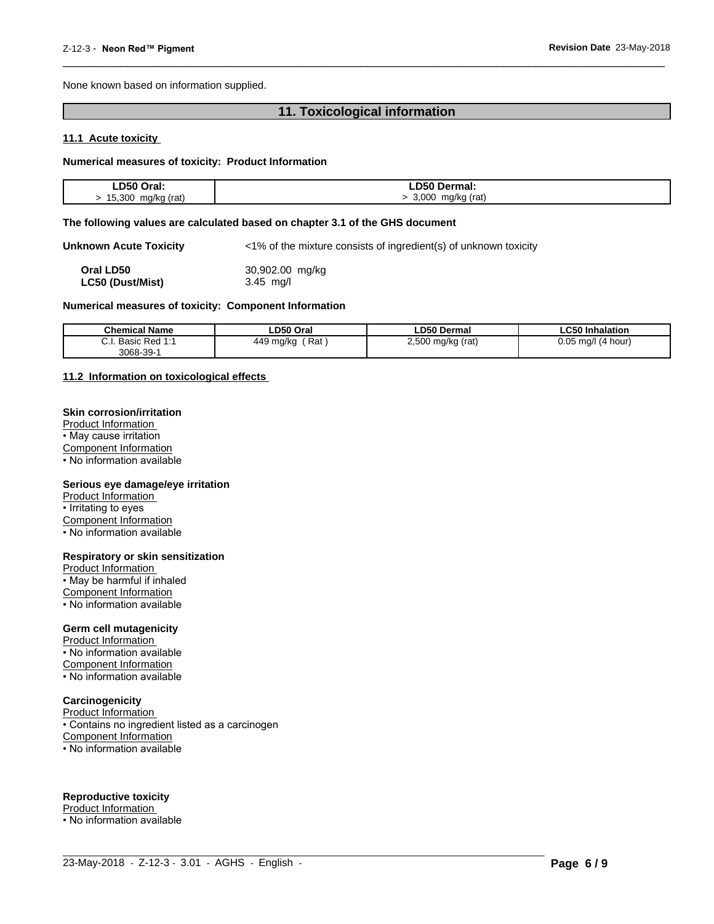None known based on information supplied.

# **11. Toxicological information**

 $\overline{\phantom{a}}$  ,  $\overline{\phantom{a}}$  ,  $\overline{\phantom{a}}$  ,  $\overline{\phantom{a}}$  ,  $\overline{\phantom{a}}$  ,  $\overline{\phantom{a}}$  ,  $\overline{\phantom{a}}$  ,  $\overline{\phantom{a}}$  ,  $\overline{\phantom{a}}$  ,  $\overline{\phantom{a}}$  ,  $\overline{\phantom{a}}$  ,  $\overline{\phantom{a}}$  ,  $\overline{\phantom{a}}$  ,  $\overline{\phantom{a}}$  ,  $\overline{\phantom{a}}$  ,  $\overline{\phantom{a}}$ 

# **11.1 Acute toxicity**

### **Numerical measures of toxicity: Product Information**

| LD50 Oral:            | ∟D50 Dermal:                    |
|-----------------------|---------------------------------|
| 15,300<br>mg/kg (rat) | 3,000<br>mg/kg (rat)<br>$\cdot$ |

#### **The following values are calculated based on chapter 3.1 of the GHS document**

**Unknown Acute Toxicity** <1% of the mixture consists of ingredient(s) of unknown toxicity

| Oral LD50        | 30,902.00 mg/kg |
|------------------|-----------------|
| LC50 (Dust/Mist) | $3.45$ mg/l     |

#### **Numerical measures of toxicity: Component Information**

| <b>Chemical Name</b>                 | ∟D50 Oral                        | <b>LD50 Dermal</b>                                     | <b>LC50 Inhalation</b>   |
|--------------------------------------|----------------------------------|--------------------------------------------------------|--------------------------|
| ົ່<br>.<br>Red :<br>Basic I<br><br>. | Rat<br>449 mg/kg<br>.<br>$\cdot$ | <b>EOO</b><br>2,500 mg/kg (rat)<br>$\cdot$ $\cdot$<br> | 0.05<br>ma/l<br>(4 hour) |
| 3068-39-                             |                                  |                                                        |                          |

 $\_$  ,  $\_$  ,  $\_$  ,  $\_$  ,  $\_$  ,  $\_$  ,  $\_$  ,  $\_$  ,  $\_$  ,  $\_$  ,  $\_$  ,  $\_$  ,  $\_$  ,  $\_$  ,  $\_$  ,  $\_$  ,  $\_$  ,  $\_$  ,  $\_$  ,  $\_$  ,  $\_$  ,  $\_$  ,  $\_$  ,  $\_$  ,  $\_$  ,  $\_$  ,  $\_$  ,  $\_$  ,  $\_$  ,  $\_$  ,  $\_$  ,  $\_$  ,  $\_$  ,  $\_$  ,  $\_$  ,  $\_$  ,  $\_$  ,

#### **11.2 Information on toxicologicaleffects**

# **Skin corrosion/irritation**

Product Information • May cause irritation Component Information • No information available

#### **Serious eye damage/eye irritation**

Product Information • Irritating to eyes

Component Information

• No information available

#### **Respiratory or skin sensitization**

Product Information  $\overline{\cdot}$  May be harmful if inhaled

Component Information

• No information available

# **Germ cell mutagenicity**

Product Information • No information available Component Information • No information available

# **Carcinogenicity**

Product Information • Contains no ingredient listed as a carcinogen Component Information • No information available

# **Reproductive toxicity**

Product Information • No information available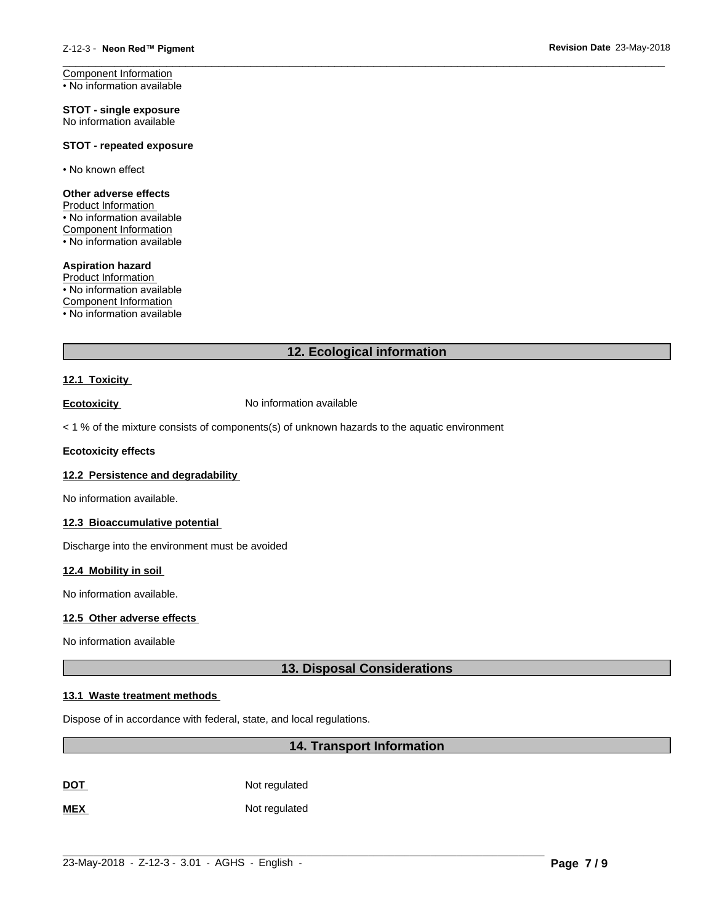Component Information • No information available

**STOT - single exposure** No information available

# **STOT - repeated exposure**

• No known effect

# **Other adverse effects**

Product Information • No information available Component Information

• No information available

#### **Aspiration hazard**

Product Information • No information available Component Information

• No information available

# **12. Ecological information**

 $\overline{\phantom{a}}$  ,  $\overline{\phantom{a}}$  ,  $\overline{\phantom{a}}$  ,  $\overline{\phantom{a}}$  ,  $\overline{\phantom{a}}$  ,  $\overline{\phantom{a}}$  ,  $\overline{\phantom{a}}$  ,  $\overline{\phantom{a}}$  ,  $\overline{\phantom{a}}$  ,  $\overline{\phantom{a}}$  ,  $\overline{\phantom{a}}$  ,  $\overline{\phantom{a}}$  ,  $\overline{\phantom{a}}$  ,  $\overline{\phantom{a}}$  ,  $\overline{\phantom{a}}$  ,  $\overline{\phantom{a}}$ 

# **12.1 Toxicity**

**Ecotoxicity No information available** 

 $<$  1 % of the mixture consists of components(s) of unknown hazards to the aquatic environment

# **Ecotoxicity effects**

# **12.2 Persistence and degradability**

No information available.

# **12.3 Bioaccumulative potential**

Discharge into the environment must be avoided

# **12.4 Mobility in soil**

No information available.

# **12.5 Other adverse effects**

No information available

# **13. Disposal Considerations**

# **13.1 Waste treatment methods**

Dispose of in accordance with federal, state, and local regulations.

# **14. Transport Information**

**DOT** Not regulated

**MEX** Not regulated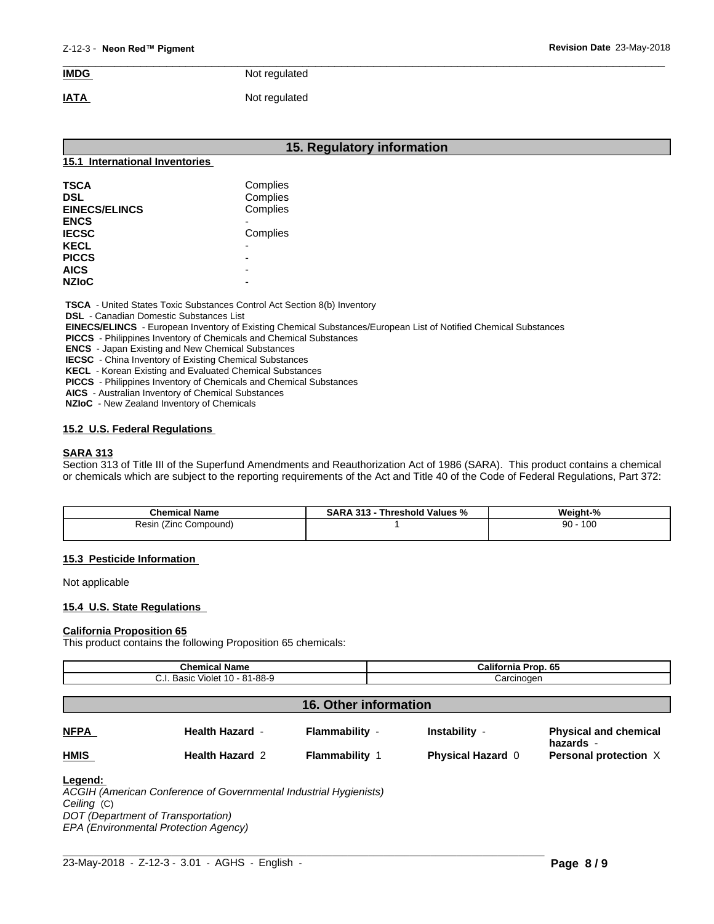# $\overline{\phantom{a}}$  ,  $\overline{\phantom{a}}$  ,  $\overline{\phantom{a}}$  ,  $\overline{\phantom{a}}$  ,  $\overline{\phantom{a}}$  ,  $\overline{\phantom{a}}$  ,  $\overline{\phantom{a}}$  ,  $\overline{\phantom{a}}$  ,  $\overline{\phantom{a}}$  ,  $\overline{\phantom{a}}$  ,  $\overline{\phantom{a}}$  ,  $\overline{\phantom{a}}$  ,  $\overline{\phantom{a}}$  ,  $\overline{\phantom{a}}$  ,  $\overline{\phantom{a}}$  ,  $\overline{\phantom{a}}$ **IMDG** Not regulated

**IATA** Not regulated

# **15. Regulatory information 15.1 International Inventories TSCA** Complies **DSL** Complies **EINECS/ELINCS** Complies **ENCS** - **IECSC** Complies **KECL** - **PICCS** -

 **TSCA** - United States Toxic Substances Control Act Section 8(b) Inventory

 **DSL** - Canadian Domestic Substances List

 **EINECS/ELINCS** - European Inventory of Existing Chemical Substances/European List of Notified Chemical Substances

 **PICCS** - Philippines Inventory of Chemicals and Chemical Substances

 **ENCS** - Japan Existing and New Chemical Substances

 **IECSC** - China Inventory of Existing Chemical Substances

**AICS** -

 **KECL** - Korean Existing and Evaluated Chemical Substances

 **PICCS** - Philippines Inventory of Chemicals and Chemical Substances

 **AICS** - Australian Inventory of Chemical Substances

 **NZIoC** - New Zealand Inventory of Chemicals

# **15.2 U.S. Federal Regulations**

# **SARA 313**

**NZIoC** -

Section 313 of Title III of the Superfund Amendments and Reauthorization Act of 1986 (SARA). This product contains a chemical or chemicals which are subject to the reporting requirements of the Act and Title 40 of the Code of Federal Regulations, Part 372:

| <b>Chemical Name</b>        | . 313<br>Threshold<br>⊺Values<br>D A<br><b>SARA</b><br>-70 | Weight-%  |
|-----------------------------|------------------------------------------------------------|-----------|
| Compound)<br>≺esın<br>(∠inc |                                                            | 100<br>90 |
|                             |                                                            |           |

# **15.3 Pesticide Information**

Not applicable

# **15.4 U.S. State Regulations**

#### **California Proposition 65**

This product contains the following Proposition 65 chemicals:

| <b>Chemical Name</b><br>C.I. Basic Violet 10 - 81-88-9 |                        |                              | California Prop. 65<br>Carcinogen |                                           |
|--------------------------------------------------------|------------------------|------------------------------|-----------------------------------|-------------------------------------------|
|                                                        |                        |                              |                                   |                                           |
|                                                        |                        | <b>16. Other information</b> |                                   |                                           |
| <b>NFPA</b>                                            | <b>Health Hazard -</b> | Flammability -               | Instability -                     | <b>Physical and chemical</b><br>hazards - |
| <b>HMIS</b>                                            | <b>Health Hazard 2</b> | <b>Flammability 1</b>        | <b>Physical Hazard 0</b>          | Personal protection X                     |
| Legend:                                                |                        |                              |                                   |                                           |

*ACGIH (American Conference of Governmental Industrial Hygienists) Ceiling* (C) *DOT (Department of Transportation) EPA (Environmental Protection Agency)*